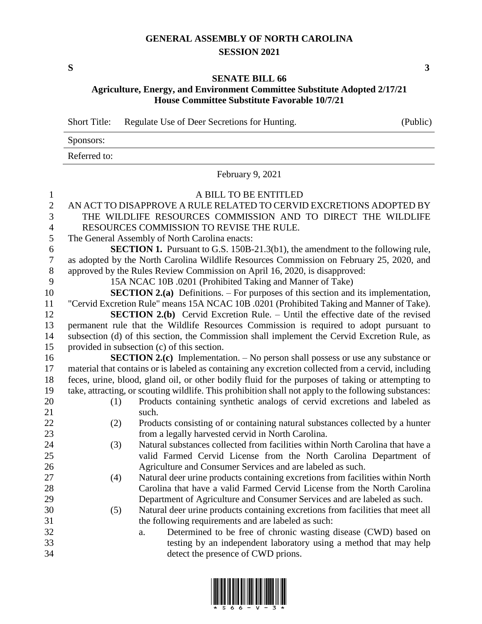## **GENERAL ASSEMBLY OF NORTH CAROLINA SESSION 2021**

**S 3**

## **SENATE BILL 66**

**Agriculture, Energy, and Environment Committee Substitute Adopted 2/17/21 House Committee Substitute Favorable 10/7/21**

Short Title: Regulate Use of Deer Secretions for Hunting. (Public)

| Sponsors:    |  |
|--------------|--|
| Referred to: |  |

February 9, 2021

| 1                |     | A BILL TO BE ENTITLED                                                                                 |
|------------------|-----|-------------------------------------------------------------------------------------------------------|
| $\sqrt{2}$       |     | AN ACT TO DISAPPROVE A RULE RELATED TO CERVID EXCRETIONS ADOPTED BY                                   |
| 3                |     | THE WILDLIFE RESOURCES COMMISSION AND TO DIRECT THE WILDLIFE                                          |
| $\overline{4}$   |     | RESOURCES COMMISSION TO REVISE THE RULE.                                                              |
| 5                |     | The General Assembly of North Carolina enacts:                                                        |
| 6                |     | <b>SECTION 1.</b> Pursuant to G.S. 150B-21.3(b1), the amendment to the following rule,                |
| $\boldsymbol{7}$ |     | as adopted by the North Carolina Wildlife Resources Commission on February 25, 2020, and              |
| $\,8\,$          |     | approved by the Rules Review Commission on April 16, 2020, is disapproved:                            |
| 9                |     | 15A NCAC 10B .0201 (Prohibited Taking and Manner of Take)                                             |
| 10               |     | <b>SECTION 2.(a)</b> Definitions. – For purposes of this section and its implementation,              |
| 11               |     | "Cervid Excretion Rule" means 15A NCAC 10B .0201 (Prohibited Taking and Manner of Take).              |
| 12               |     | <b>SECTION 2.(b)</b> Cervid Excretion Rule. – Until the effective date of the revised                 |
| 13               |     | permanent rule that the Wildlife Resources Commission is required to adopt pursuant to                |
| 14               |     | subsection (d) of this section, the Commission shall implement the Cervid Excretion Rule, as          |
| 15               |     | provided in subsection (c) of this section.                                                           |
| 16               |     | <b>SECTION 2.(c)</b> Implementation. - No person shall possess or use any substance or                |
| 17               |     | material that contains or is labeled as containing any excretion collected from a cervid, including   |
| 18               |     | feces, urine, blood, gland oil, or other bodily fluid for the purposes of taking or attempting to     |
| 19               |     | take, attracting, or scouting wildlife. This prohibition shall not apply to the following substances: |
| 20               | (1) | Products containing synthetic analogs of cervid excretions and labeled as                             |
| 21               |     | such.                                                                                                 |
| 22               | (2) | Products consisting of or containing natural substances collected by a hunter                         |
| 23               |     | from a legally harvested cervid in North Carolina.                                                    |
| 24               | (3) | Natural substances collected from facilities within North Carolina that have a                        |
| 25               |     | valid Farmed Cervid License from the North Carolina Department of                                     |
| 26               |     | Agriculture and Consumer Services and are labeled as such.                                            |
| 27               | (4) | Natural deer urine products containing excretions from facilities within North                        |
| 28               |     | Carolina that have a valid Farmed Cervid License from the North Carolina                              |
| 29               |     | Department of Agriculture and Consumer Services and are labeled as such.                              |
| 30               | (5) | Natural deer urine products containing excretions from facilities that meet all                       |
| 31               |     | the following requirements and are labeled as such:                                                   |
| 32               |     | Determined to be free of chronic wasting disease (CWD) based on<br>a.                                 |
| 33               |     | testing by an independent laboratory using a method that may help                                     |
| 34               |     | detect the presence of CWD prions.                                                                    |